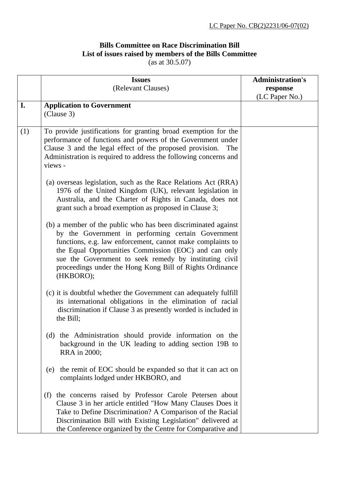## **Bills Committee on Race Discrimination Bill List of issues raised by members of the Bills Committee**

(as at 30.5.07)

|     | <b>Issues</b>                                                                                                                                                                                                                                                                                                                                                                 | <b>Administration's</b> |
|-----|-------------------------------------------------------------------------------------------------------------------------------------------------------------------------------------------------------------------------------------------------------------------------------------------------------------------------------------------------------------------------------|-------------------------|
|     | (Relevant Clauses)                                                                                                                                                                                                                                                                                                                                                            | response                |
|     |                                                                                                                                                                                                                                                                                                                                                                               | (LC Paper No.)          |
| I.  | <b>Application to Government</b>                                                                                                                                                                                                                                                                                                                                              |                         |
|     | (Clause 3)                                                                                                                                                                                                                                                                                                                                                                    |                         |
|     |                                                                                                                                                                                                                                                                                                                                                                               |                         |
| (1) | To provide justifications for granting broad exemption for the<br>performance of functions and powers of the Government under<br>Clause 3 and the legal effect of the proposed provision.<br>The<br>Administration is required to address the following concerns and<br>views -                                                                                               |                         |
|     | (a) overseas legislation, such as the Race Relations Act (RRA)<br>1976 of the United Kingdom (UK), relevant legislation in<br>Australia, and the Charter of Rights in Canada, does not<br>grant such a broad exemption as proposed in Clause 3;                                                                                                                               |                         |
|     | (b) a member of the public who has been discriminated against<br>by the Government in performing certain Government<br>functions, e.g. law enforcement, cannot make complaints to<br>the Equal Opportunities Commission (EOC) and can only<br>sue the Government to seek remedy by instituting civil<br>proceedings under the Hong Kong Bill of Rights Ordinance<br>(HKBORO); |                         |
|     | (c) it is doubtful whether the Government can adequately fulfill<br>its international obligations in the elimination of racial<br>discrimination if Clause 3 as presently worded is included in<br>the Bill;                                                                                                                                                                  |                         |
|     | the Administration should provide information on the<br>(d)<br>background in the UK leading to adding section 19B to<br>RRA in 2000;                                                                                                                                                                                                                                          |                         |
|     | the remit of EOC should be expanded so that it can act on<br>(e)<br>complaints lodged under HKBORO, and                                                                                                                                                                                                                                                                       |                         |
|     | (f) the concerns raised by Professor Carole Petersen about<br>Clause 3 in her article entitled "How Many Clauses Does it<br>Take to Define Discrimination? A Comparison of the Racial<br>Discrimination Bill with Existing Legislation" delivered at<br>the Conference organized by the Centre for Comparative and                                                            |                         |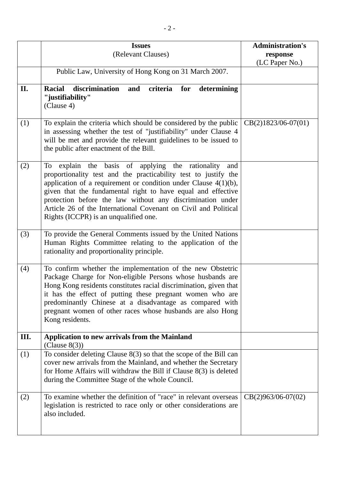|     | <b>Issues</b>                                                                                                                                                                                                                                                                                                                                                                                                                                    | <b>Administration's</b> |
|-----|--------------------------------------------------------------------------------------------------------------------------------------------------------------------------------------------------------------------------------------------------------------------------------------------------------------------------------------------------------------------------------------------------------------------------------------------------|-------------------------|
|     | (Relevant Clauses)                                                                                                                                                                                                                                                                                                                                                                                                                               | response                |
|     | Public Law, University of Hong Kong on 31 March 2007.                                                                                                                                                                                                                                                                                                                                                                                            | (LC Paper No.)          |
|     |                                                                                                                                                                                                                                                                                                                                                                                                                                                  |                         |
| II. | <b>Racial</b><br>discrimination<br>criteria<br>determining<br>and<br>for<br>"justifiability"<br>(Clause 4)                                                                                                                                                                                                                                                                                                                                       |                         |
| (1) | To explain the criteria which should be considered by the public<br>in assessing whether the test of "justifiability" under Clause 4<br>will be met and provide the relevant guidelines to be issued to<br>the public after enactment of the Bill.                                                                                                                                                                                               | $CB(2)1823/06-07(01)$   |
| (2) | the basis of applying the rationality<br>To<br>explain<br>and<br>proportionality test and the practicability test to justify the<br>application of a requirement or condition under Clause $4(1)(b)$ ,<br>given that the fundamental right to have equal and effective<br>protection before the law without any discrimination under<br>Article 26 of the International Covenant on Civil and Political<br>Rights (ICCPR) is an unqualified one. |                         |
| (3) | To provide the General Comments issued by the United Nations<br>Human Rights Committee relating to the application of the<br>rationality and proportionality principle.                                                                                                                                                                                                                                                                          |                         |
| (4) | To confirm whether the implementation of the new Obstetric<br>Package Charge for Non-eligible Persons whose husbands are<br>Hong Kong residents constitutes racial discrimination, given that<br>it has the effect of putting these pregnant women who are<br>predominantly Chinese at a disadvantage as compared with<br>pregnant women of other races whose husbands are also Hong<br>Kong residents.                                          |                         |
| Ш.  | <b>Application to new arrivals from the Mainland</b><br>(Clause $8(3)$ )                                                                                                                                                                                                                                                                                                                                                                         |                         |
| (1) | To consider deleting Clause $8(3)$ so that the scope of the Bill can<br>cover new arrivals from the Mainland, and whether the Secretary<br>for Home Affairs will withdraw the Bill if Clause $8(3)$ is deleted<br>during the Committee Stage of the whole Council.                                                                                                                                                                               |                         |
| (2) | To examine whether the definition of "race" in relevant overseas<br>legislation is restricted to race only or other considerations are<br>also included.                                                                                                                                                                                                                                                                                         | $CB(2)963/06-07(02)$    |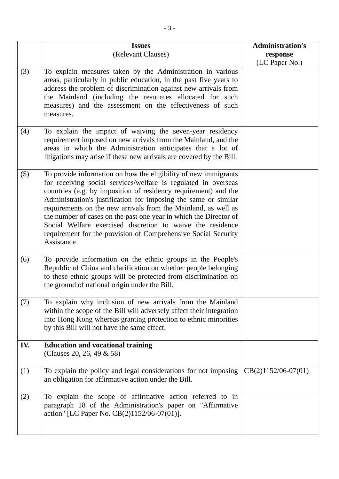|     | <b>Issues</b>                                                                                                                                                                                                                                                                                                                                                                                                                                                                                                                                                | <b>Administration's</b>    |
|-----|--------------------------------------------------------------------------------------------------------------------------------------------------------------------------------------------------------------------------------------------------------------------------------------------------------------------------------------------------------------------------------------------------------------------------------------------------------------------------------------------------------------------------------------------------------------|----------------------------|
|     | (Relevant Clauses)                                                                                                                                                                                                                                                                                                                                                                                                                                                                                                                                           | response<br>(LC Paper No.) |
| (3) | To explain measures taken by the Administration in various<br>areas, particularly in public education, in the past five years to<br>address the problem of discrimination against new arrivals from<br>the Mainland (including the resources allocated for such<br>measures) and the assessment on the effectiveness of such<br>measures.                                                                                                                                                                                                                    |                            |
| (4) | To explain the impact of waiving the seven-year residency<br>requirement imposed on new arrivals from the Mainland, and the<br>areas in which the Administration anticipates that a lot of<br>litigations may arise if these new arrivals are covered by the Bill.                                                                                                                                                                                                                                                                                           |                            |
| (5) | To provide information on how the eligibility of new immigrants<br>for receiving social services/welfare is regulated in overseas<br>countries (e.g. by imposition of residency requirement) and the<br>Administration's justification for imposing the same or similar<br>requirements on the new arrivals from the Mainland, as well as<br>the number of cases on the past one year in which the Director of<br>Social Welfare exercised discretion to waive the residence<br>requirement for the provision of Comprehensive Social Security<br>Assistance |                            |
| (6) | To provide information on the ethnic groups in the People's<br>Republic of China and clarification on whether people belonging<br>to these ethnic groups will be protected from discrimination on<br>the ground of national origin under the Bill.                                                                                                                                                                                                                                                                                                           |                            |
| (7) | To explain why inclusion of new arrivals from the Mainland<br>within the scope of the Bill will adversely affect their integration<br>into Hong Kong whereas granting protection to ethnic minorities<br>by this Bill will not have the same effect.                                                                                                                                                                                                                                                                                                         |                            |
| IV. | <b>Education and vocational training</b><br>(Clauses 20, 26, 49 & 58)                                                                                                                                                                                                                                                                                                                                                                                                                                                                                        |                            |
| (1) | To explain the policy and legal considerations for not imposing<br>an obligation for affirmative action under the Bill.                                                                                                                                                                                                                                                                                                                                                                                                                                      | $CB(2)1152/06-07(01)$      |
| (2) | To explain the scope of affirmative action referred to in<br>paragraph 18 of the Administration's paper on "Affirmative<br>action" [LC Paper No. CB(2)1152/06-07(01)].                                                                                                                                                                                                                                                                                                                                                                                       |                            |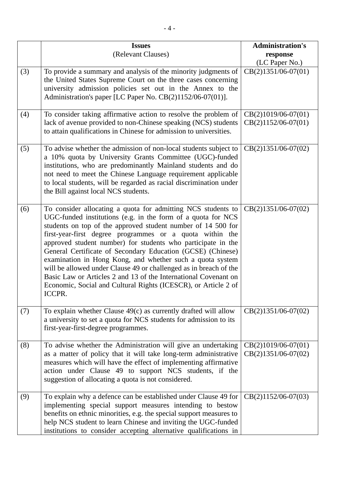|     | <b>Issues</b>                                                                                                                                                                                                                                                                                                                                                                                                                                                                                                                                                                                                                                                            | <b>Administration's</b>                        |
|-----|--------------------------------------------------------------------------------------------------------------------------------------------------------------------------------------------------------------------------------------------------------------------------------------------------------------------------------------------------------------------------------------------------------------------------------------------------------------------------------------------------------------------------------------------------------------------------------------------------------------------------------------------------------------------------|------------------------------------------------|
|     | (Relevant Clauses)                                                                                                                                                                                                                                                                                                                                                                                                                                                                                                                                                                                                                                                       | response                                       |
|     |                                                                                                                                                                                                                                                                                                                                                                                                                                                                                                                                                                                                                                                                          | (LC Paper No.)                                 |
| (3) | To provide a summary and analysis of the minority judgments of<br>the United States Supreme Court on the three cases concerning                                                                                                                                                                                                                                                                                                                                                                                                                                                                                                                                          | $CB(2)1351/06-07(01)$                          |
|     | university admission policies set out in the Annex to the                                                                                                                                                                                                                                                                                                                                                                                                                                                                                                                                                                                                                |                                                |
|     | Administration's paper [LC Paper No. CB(2)1152/06-07(01)].                                                                                                                                                                                                                                                                                                                                                                                                                                                                                                                                                                                                               |                                                |
| (4) | To consider taking affirmative action to resolve the problem of                                                                                                                                                                                                                                                                                                                                                                                                                                                                                                                                                                                                          | $CB(2)1019/06-07(01)$                          |
|     | lack of avenue provided to non-Chinese speaking (NCS) students<br>to attain qualifications in Chinese for admission to universities.                                                                                                                                                                                                                                                                                                                                                                                                                                                                                                                                     | $CB(2)1152/06-07(01)$                          |
| (5) | To advise whether the admission of non-local students subject to<br>a 10% quota by University Grants Committee (UGC)-funded<br>institutions, who are predominantly Mainland students and do<br>not need to meet the Chinese Language requirement applicable<br>to local students, will be regarded as racial discrimination under<br>the Bill against local NCS students.                                                                                                                                                                                                                                                                                                | $CB(2)1351/06-07(02)$                          |
| (6) | To consider allocating a quota for admitting NCS students to<br>UGC-funded institutions (e.g. in the form of a quota for NCS<br>students on top of the approved student number of 14 500 for<br>first-year-first degree programmes or a quota within the<br>approved student number) for students who participate in the<br>General Certificate of Secondary Education (GCSE) (Chinese)<br>examination in Hong Kong, and whether such a quota system<br>will be allowed under Clause 49 or challenged as in breach of the<br>Basic Law or Articles 2 and 13 of the International Covenant on<br>Economic, Social and Cultural Rights (ICESCR), or Article 2 of<br>ICCPR. | $CB(2)1351/06-07(02)$                          |
| (7) | To explain whether Clause $49(c)$ as currently drafted will allow<br>a university to set a quota for NCS students for admission to its<br>first-year-first-degree programmes.                                                                                                                                                                                                                                                                                                                                                                                                                                                                                            | $CB(2)1351/06-07(02)$                          |
| (8) | To advise whether the Administration will give an undertaking<br>as a matter of policy that it will take long-term administrative<br>measures which will have the effect of implementing affirmative<br>action under Clause 49 to support NCS students, if the<br>suggestion of allocating a quota is not considered.                                                                                                                                                                                                                                                                                                                                                    | $CB(2)1019/06-07(01)$<br>$CB(2)1351/06-07(02)$ |
| (9) | To explain why a defence can be established under Clause 49 for<br>implementing special support measures intending to bestow<br>benefits on ethnic minorities, e.g. the special support measures to<br>help NCS student to learn Chinese and inviting the UGC-funded<br>institutions to consider accepting alternative qualifications in                                                                                                                                                                                                                                                                                                                                 | $CB(2)1152/06-07(03)$                          |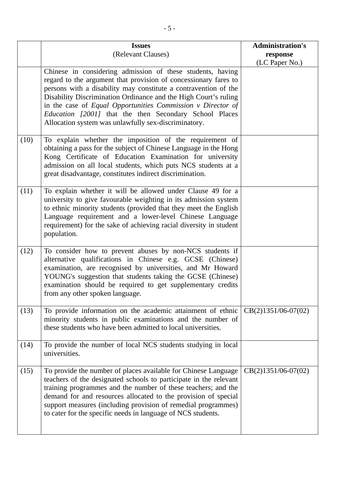|      | <b>Issues</b><br>(Relevant Clauses)                                                                                                                                                                                                                                                                                                                                                                                                                  | <b>Administration's</b><br>response<br>(LC Paper No.) |
|------|------------------------------------------------------------------------------------------------------------------------------------------------------------------------------------------------------------------------------------------------------------------------------------------------------------------------------------------------------------------------------------------------------------------------------------------------------|-------------------------------------------------------|
|      | Chinese in considering admission of these students, having<br>regard to the argument that provision of concessionary fares to<br>persons with a disability may constitute a contravention of the<br>Disability Discrimination Ordinance and the High Court's ruling<br>in the case of Equal Opportunities Commission v Director of<br>Education [2001] that the then Secondary School Places<br>Allocation system was unlawfully sex-discriminatory. |                                                       |
| (10) | To explain whether the imposition of the requirement of<br>obtaining a pass for the subject of Chinese Language in the Hong<br>Kong Certificate of Education Examination for university<br>admission on all local students, which puts NCS students at a<br>great disadvantage, constitutes indirect discrimination.                                                                                                                                 |                                                       |
| (11) | To explain whether it will be allowed under Clause 49 for a<br>university to give favourable weighting in its admission system<br>to ethnic minority students (provided that they meet the English<br>Language requirement and a lower-level Chinese Language<br>requirement) for the sake of achieving racial diversity in student<br>population.                                                                                                   |                                                       |
| (12) | To consider how to prevent abuses by non-NCS students if<br>alternative qualifications in Chinese e.g. GCSE (Chinese)<br>examination, are recognised by universities, and Mr Howard<br>YOUNG's suggestion that students taking the GCSE (Chinese)<br>examination should be required to get supplementary credits<br>from any other spoken language.                                                                                                  |                                                       |
| (13) | To provide information on the academic attainment of ethnic<br>minority students in public examinations and the number of<br>these students who have been admitted to local universities.                                                                                                                                                                                                                                                            | $CB(2)1351/06-07(02)$                                 |
| (14) | To provide the number of local NCS students studying in local<br>universities.                                                                                                                                                                                                                                                                                                                                                                       |                                                       |
| (15) | To provide the number of places available for Chinese Language<br>teachers of the designated schools to participate in the relevant<br>training programmes and the number of these teachers; and the<br>demand for and resources allocated to the provision of special<br>support measures (including provision of remedial programmes)<br>to cater for the specific needs in language of NCS students.                                              | CB(2)1351/06-07(02)                                   |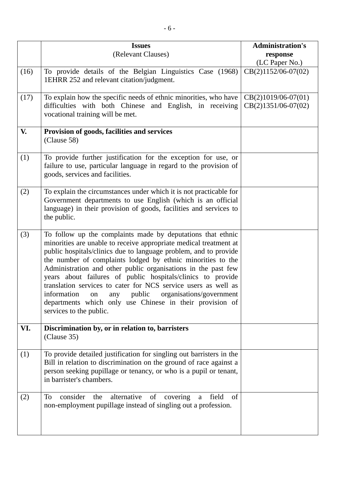|      | <b>Issues</b><br>(Relevant Clauses)                                                                                                                                                                                                                                                                                                                                                                                                                                                                                                                                                                                | <b>Administration's</b>                        |
|------|--------------------------------------------------------------------------------------------------------------------------------------------------------------------------------------------------------------------------------------------------------------------------------------------------------------------------------------------------------------------------------------------------------------------------------------------------------------------------------------------------------------------------------------------------------------------------------------------------------------------|------------------------------------------------|
|      |                                                                                                                                                                                                                                                                                                                                                                                                                                                                                                                                                                                                                    | response<br>(LC Paper No.)                     |
| (16) | To provide details of the Belgian Linguistics Case (1968)<br>1EHRR 252 and relevant citation/judgment.                                                                                                                                                                                                                                                                                                                                                                                                                                                                                                             | $CB(2)1152/06-07(02)$                          |
| (17) | To explain how the specific needs of ethnic minorities, who have<br>difficulties with both Chinese and English, in receiving<br>vocational training will be met.                                                                                                                                                                                                                                                                                                                                                                                                                                                   | $CB(2)1019/06-07(01)$<br>$CB(2)1351/06-07(02)$ |
| V.   | Provision of goods, facilities and services<br>(Clause 58)                                                                                                                                                                                                                                                                                                                                                                                                                                                                                                                                                         |                                                |
| (1)  | To provide further justification for the exception for use, or<br>failure to use, particular language in regard to the provision of<br>goods, services and facilities.                                                                                                                                                                                                                                                                                                                                                                                                                                             |                                                |
| (2)  | To explain the circumstances under which it is not practicable for<br>Government departments to use English (which is an official<br>language) in their provision of goods, facilities and services to<br>the public.                                                                                                                                                                                                                                                                                                                                                                                              |                                                |
| (3)  | To follow up the complaints made by deputations that ethnic<br>minorities are unable to receive appropriate medical treatment at<br>public hospitals/clinics due to language problem, and to provide<br>the number of complaints lodged by ethnic minorities to the<br>Administration and other public organisations in the past few<br>years about failures of public hospitals/clinics to provide<br>translation services to cater for NCS service users as well as<br>information on any public organisations/government<br>departments which only use Chinese in their provision of<br>services to the public. |                                                |
| VI.  | Discrimination by, or in relation to, barristers<br>(Clause 35)                                                                                                                                                                                                                                                                                                                                                                                                                                                                                                                                                    |                                                |
| (1)  | To provide detailed justification for singling out barristers in the<br>Bill in relation to discrimination on the ground of race against a<br>person seeking pupillage or tenancy, or who is a pupil or tenant,<br>in barrister's chambers.                                                                                                                                                                                                                                                                                                                                                                        |                                                |
| (2)  | consider<br>alternative<br>the<br>of<br>covering<br>field<br>To<br>of<br>a<br>non-employment pupillage instead of singling out a profession.                                                                                                                                                                                                                                                                                                                                                                                                                                                                       |                                                |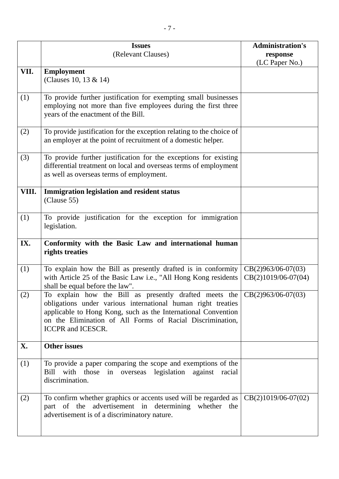|       | <b>Issues</b>                                                                                                                                                                                                                                                                                                   | <b>Administration's</b>                       |
|-------|-----------------------------------------------------------------------------------------------------------------------------------------------------------------------------------------------------------------------------------------------------------------------------------------------------------------|-----------------------------------------------|
|       | (Relevant Clauses)                                                                                                                                                                                                                                                                                              | response<br>(LC Paper No.)                    |
| VII.  | <b>Employment</b><br>(Clauses 10, 13 & 14)                                                                                                                                                                                                                                                                      |                                               |
| (1)   | To provide further justification for exempting small businesses<br>employing not more than five employees during the first three<br>years of the enactment of the Bill.                                                                                                                                         |                                               |
| (2)   | To provide justification for the exception relating to the choice of<br>an employer at the point of recruitment of a domestic helper.                                                                                                                                                                           |                                               |
| (3)   | To provide further justification for the exceptions for existing<br>differential treatment on local and overseas terms of employment<br>as well as overseas terms of employment.                                                                                                                                |                                               |
| VIII. | <b>Immigration legislation and resident status</b><br>(Clause 55)                                                                                                                                                                                                                                               |                                               |
| (1)   | To provide justification for the exception for immigration<br>legislation.                                                                                                                                                                                                                                      |                                               |
| IX.   | Conformity with the Basic Law and international human<br>rights treaties                                                                                                                                                                                                                                        |                                               |
| (1)   | To explain how the Bill as presently drafted is in conformity<br>with Article 25 of the Basic Law i.e., "All Hong Kong residents<br>shall be equal before the law".                                                                                                                                             | $CB(2)963/06-07(03)$<br>$CB(2)1019/06-07(04)$ |
| (2)   | To explain how the Bill as presently drafted meets the $\log(2)963/06-07(03)$<br>obligations under various international human right treaties<br>applicable to Hong Kong, such as the International Convention<br>on the Elimination of All Forms of Racial Discrimination,<br><b>ICCPR</b> and <b>ICESCR</b> . |                                               |
| X.    | <b>Other issues</b>                                                                                                                                                                                                                                                                                             |                                               |
| (1)   | To provide a paper comparing the scope and exemptions of the<br>with those<br>overseas legislation against racial<br>Bill<br>in<br>discrimination.                                                                                                                                                              |                                               |
| (2)   | To confirm whether graphics or accents used will be regarded as<br>part of the advertisement in<br>determining whether the<br>advertisement is of a discriminatory nature.                                                                                                                                      | $CB(2)1019/06-07(02)$                         |